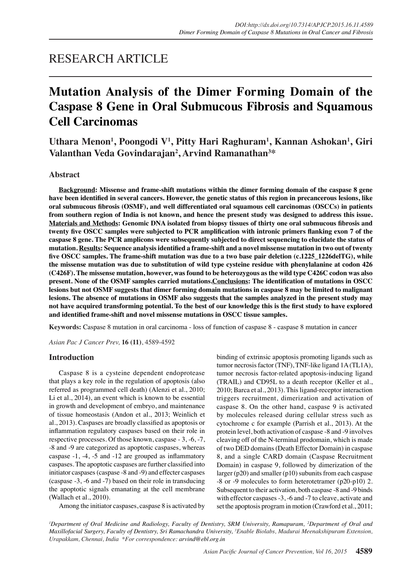## RESEARCH ARTICLE

# **Mutation Analysis of the Dimer Forming Domain of the Caspase 8 Gene in Oral Submucous Fibrosis and Squamous Cell Carcinomas**

**Uthara Menon1 , Poongodi V<sup>1</sup> , Pitty Hari Raghuram<sup>1</sup> , Kannan Ashokan<sup>1</sup> , Giri Valanthan Veda Govindarajan2 , Arvind Ramanathan<sup>3</sup> \***

### **Abstract**

**Background: Missense and frame-shift mutations within the dimer forming domain of the caspase 8 gene have been identified in several cancers. However, the genetic status of this region in precancerous lesions, like oral submucous fibrosis (OSMF), and well differentiated oral squamous cell carcinomas (OSCCs) in patients from southern region of India is not known, and hence the present study was designed to address this issue. Materials and Methods: Genomic DNA isolated from biopsy tissues of thirty one oral submucous fibrosis and twenty five OSCC samples were subjected to PCR amplification with intronic primers flanking exon 7 of the caspase 8 gene. The PCR amplicons were subsequently subjected to direct sequencing to elucidate the status of mutation. Results: Sequence analysis identified a frame-shift and a novel missense mutation in two out of twenty five OSCC samples. The frame-shift mutation was due to a two base pair deletion (c.1225\_1226delTG), while the missense mutation was due to substitution of wild type cysteine residue with phenylalanine at codon 426 (C426F). The missense mutation, however, was found to be heterozygous as the wild type C426C codon was also present. None of the OSMF samples carried mutations.Conclusions: The identification of mutations in OSCC lesions but not OSMF suggests that dimer forming domain mutations in caspase 8 may be limited to malignant lesions. The absence of mutations in OSMF also suggests that the samples analyzed in the present study may not have acquired transforming potential. To the best of our knowledge this is the first study to have explored and identified frame-shift and novel missense mutations in OSCC tissue samples.**

**Keywords:** Caspase 8 mutation in oral carcinoma - loss of function of caspase 8 - caspase 8 mutation in cancer

*Asian Pac J Cancer Prev,* **16 (11)**, 4589-4592

### **Introduction**

Caspase 8 is a cysteine dependent endoprotease that plays a key role in the regulation of apoptosis (also referred as programmed cell death) (Alenzi et al., 2010; Li et al., 2014), an event which is known to be essential in growth and development of embryo, and maintenance of tissue homeostasis (Andon et al., 2013; Weinlich et al., 2013). Caspases are broadly classified as apoptosis or inflammation regulatory caspases based on their role in respective processes. Of those known, caspase - 3, -6, -7, -8 and -9 are categorized as apoptotic caspases, whereas caspase -1, -4, -5 and -12 are grouped as inflammatory caspases. The apoptotic caspases are further classified into initiator caspases (caspase -8 and -9) and effecter caspases (caspase -3, -6 and -7) based on their role in transducing the apoptotic signals emanating at the cell membrane (Wallach et al., 2010).

Among the initiator caspases, caspase 8 is activated by

binding of extrinsic apoptosis promoting ligands such as tumor necrosis factor (TNF), TNF-like ligand 1A (TL1A), tumor necrosis factor-related apoptosis-inducing ligand (TRAIL) and CD95L to a death receptor (Keller et al., 2010; Barca et al., 2013). This ligand-receptor interaction triggers recruitment, dimerization and activation of caspase 8. On the other hand, caspase 9 is activated by molecules released during cellular stress such as cytochrome c for example (Parrish et al., 2013). At the protein level, both activation of caspase -8 and -9 involves cleaving off of the N-terminal prodomain, which is made of two DED domains (Death Effector Domain) in caspase 8, and a single CARD domain (Caspase Recruitment Domain) in caspase 9, followed by dimerization of the larger (p20) and smaller (p10) subunits from each caspase -8 or -9 molecules to form heterotetramer (p20-p10) 2. Subsequent to their activation, both caspase -8 and -9 binds with effector caspases -3, -6 and -7 to cleave, activate and set the apoptosis program in motion (Crawford et al., 2011;

*1 Department of Oral Medicine and Radiology, Faculty of Dentistry, SRM University, Ramapuram, 2 Department of Oral and Maxillofacial Surgery, Faculty of Dentistry, Sri Ramachandra University, 3 Enable Biolabs, Madurai Meenakshipuram Extension, Urapakkam, Chennai, India \*For correspondence: arvind@ebl.org.in*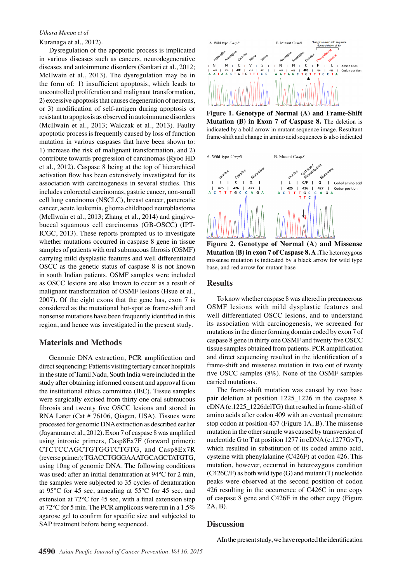#### *Uthara Menon et al*

Kuranaga et al., 2012).

Dysregulation of the apoptotic process is implicated in various diseases such as cancers, neurodegenerative diseases and autoimmune disorders (Sankari et al., 2012; McIlwain et al., 2013). The dysregulation may be in the form of: 1) insufficient apoptosis, which leads to uncontrolled proliferation and malignant transformation, 2) excessive apoptosis that causes degeneration of neurons, or 3) modification of self-antigen during apoptosis or resistant to apoptosis as observed in autoimmune disorders (McIlwain et al., 2013; Walczak et al., 2013). Faulty apoptotic process is frequently caused by loss of function mutation in various caspases that have been shown to: 1) increase the risk of malignant transformation, and 2) contribute towards progression of carcinomas (Ryoo HD et al., 2012). Caspase 8 being at the top of hierarchical activation flow has been extensively investigated for its association with carcinogenesis in several studies. This includes colorectal carcinomas, gastric cancer, non-small cell lung carcinoma (NSCLC), breast cancer, pancreatic cancer, acute leukemia, glioma childhood neuroblastoma (McIlwain et al., 2013; Zhang et al., 2014) and gingivobuccal squamous cell carcinomas (GB-OSCC) (IPT-ICGC, 2013). These reports prompted us to investigate whether mutations occurred in caspase 8 gene in tissue samples of patients with oral submucous fibrosis (OSMF) carrying mild dysplastic features and well differentiated OSCC as the genetic status of caspase 8 is not known in south Indian patients. OSMF samples were included as OSCC lesions are also known to occur as a result of malignant transformation of OSMF lesions (Hsue et al., 2007). Of the eight exons that the gene has, exon 7 is considered as the mutational hot-spot as frame-shift and nonsense mutations have been frequently identified in this region, and hence was investigated in the present study.

## **Materials and Methods**

Genomic DNA extraction, PCR amplification and direct sequencing: Patients visiting tertiary cancer hospitals in the state of Tamil Nadu, South India were included in the study after obtaining informed consent and approval from the institutional ethics committee (IEC). Tissue samples were surgically excised from thirty one oral submucous fibrosis and twenty five OSCC lesions and stored in RNA Later (Cat # 76106, Qiagen, USA). Tissues were processed for genomic DNA extraction as described earlier (Jayaraman et al., 2012). Exon 7 of caspase 8 was amplified using intronic primers, Casp8Ex7F (forward primer): CTCTCCAGCTGTGGTCTGTG, and Casp8Ex7R (reverse primer): TGACCTGGGAAATGCAGCTATGTG, using 10ng of genomic DNA. The following conditions was used: after an initial denaturation at 94°C for 2 min, the samples were subjected to 35 cycles of denaturation at 95°C for 45 sec, annealing at 55°C for 45 sec, and extension at 72°C for 45 sec, with a final extension step at 72°C for 5 min. The PCR amplicons were run in a 1.5% agarose gel to confirm for specific size and subjected to SAP treatment before being sequenced.



**Figure 1. Genotype of Normal (A) and Frame-Shift Mutation (B) in Exon 7 of Caspase 8.** The deletion is indicated by a bold arrow in mutant sequence image. Resultant frame-shift and change in amino acid sequences is also indicated

B Mutant Casp8

A. Wild type Casp8



**Figure 2. Genotype of Normal (A) and Missense Mutation (B) in exon 7 of Caspase 8. A .**The heterozygous missense mutation is indicated by a black arrow for wild type base, and red arrow for mutant base

#### **Results**

To know whether caspase 8 was altered in precancerous OSMF lesions with mild dysplastic features and well differentiated OSCC lesions, and to understand its association with carcinogenesis, we screened for mutations in the dimer forming domain coded by exon 7 of caspase 8 gene in thirty one OSMF and twenty five OSCC tissue samples obtained from patients. PCR amplification and direct sequencing resulted in the identification of a frame-shift and missense mutation in two out of twenty five OSCC samples (8%). None of the OSMF samples carried mutations.

The frame-shift mutation was caused by two base pair deletion at position 1225\_1226 in the caspase 8 cDNA (c.1225\_1226delTG) that resulted in frame-shift of amino acids after codon 409 with an eventual premature stop codon at position 437 (Figure 1A, B). The missense mutation in the other sample was caused by transversion of nucleotide G to T at position 1277 in cDNA (c.1277G>T), which resulted in substitution of its coded amino acid, cysteine with phenylalanine (C426F) at codon 426. This mutation, however, occurred in heterozygous condition (C426C/F) as both wild type (G) and mutant (T) nucleotide peaks were observed at the second position of codon 426 resulting in the occurrence of C426C in one copy of caspase 8 gene and C426F in the other copy (Figure 2A, B).

#### **Discussion**

AIn the present study, we have reported the identification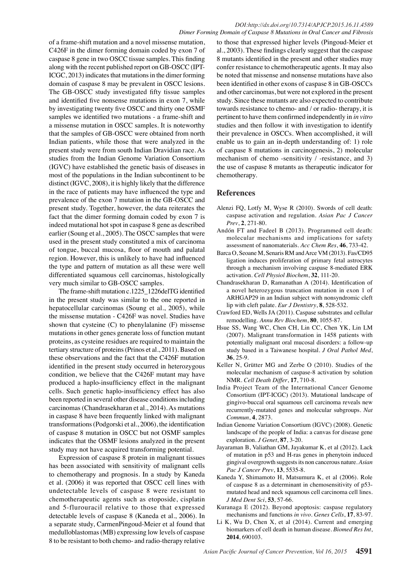of a frame-shift mutation and a novel missense mutation, C426F in the dimer forming domain coded by exon 7 of caspase 8 gene in two OSCC tissue samples. This finding along with the recent published report on GB-OSCC (IPT-ICGC, 2013) indicates that mutations in the dimer forming domain of caspase 8 may be prevalent in OSCC lesions. The GB-OSCC study investigated fifty tissue samples and identified five nonsense mutations in exon 7, while by investigating twenty five OSCC and thirty one OSMF samples we identified two mutations - a frame-shift and a missense mutation in OSCC samples. It is noteworthy that the samples of GB-OSCC were obtained from north Indian patients, while those that were analyzed in the present study were from south Indian Dravidian race. As studies from the Indian Genome Variation Consortium (IGVC) have established the genetic basis of diseases in most of the populations in the Indian subcontinent to be distinct (IGVC, 2008), it is highly likely that the difference in the race of patients may have influenced the type and prevalence of the exon 7 mutation in the GB-OSCC and present study. Together, however, the data reiterates the fact that the dimer forming domain coded by exon 7 is indeed mutational hot spot in caspase 8 gene as described earlier (Soung et al., 2005). The OSCC samples that were used in the present study constituted a mix of carcinoma of tongue, buccal mucosa, floor of mouth and palatal region. However, this is unlikely to have had influenced the type and pattern of mutation as all these were well differentiated squamous cell carcinomas, histologically very much similar to GB-OSCC samples.

The frame-shift mutation c.1225\_1226delTG identified in the present study was similar to the one reported in hepatocellular carcinomas (Soung et al., 2005), while the missense mutation - C426F was novel. Studies have shown that cysteine (C) to phenylalanine (F) missense mutations in other genes generate loss of function mutant proteins, as cysteine residues are required to maintain the tertiary structure of proteins (Prinos et al., 2011). Based on these observations and the fact that the C426F mutation identified in the present study occurred in heterozygous condition, we believe that the C426F mutant may have produced a haplo-insufficiency effect in the malignant cells. Such genetic haplo-insufficiency effect has also been reported in several other disease conditions including carcinomas (Chandrasekharan et al., 2014). As mutations in caspase 8 have been frequently linked with malignant transformations (Podgorski et al., 2006), the identification of caspase 8 mutation in OSCC but not OSMF samples indicates that the OSMF lesions analyzed in the present study may not have acquired transforming potential.

Expression of caspase 8 protein in malignant tissues has been associated with sensitivity of malignant cells to chemotherapy and prognosis. In a study by Kaneda et al. (2006) it was reported that OSCC cell lines with undetectable levels of caspase 8 were resistant to chemotherapeutic agents such as etoposide, cisplatin and 5-flurouracil relative to those that expressed detectable levels of caspase 8 (Kaneda et al., 2006). In a separate study, CarmenPingoud-Meier et al found that medulloblastomas (MB) expressing low levels of caspase 8 to be resistant to both chemo- and radio-therapy relative

to those that expressed higher levels (Pingoud-Meier et al., 2003). These findings clearly suggest that the caspase 8 mutants identified in the present and other studies may confer resistance to chemotherapeutic agents. It may also be noted that missense and nonsense mutations have also been identified in other exons of caspase 8 in GB-OSCCs and other carcinomas, but were not explored in the present study. Since these mutants are also expected to contribute towards resistance to chemo- and / or radio- therapy, it is pertinent to have them confirmed independently in *in vitro* studies and then follow it with investigation to identify their prevalence in OSCCs. When accomplished, it will enable us to gain an in-depth understanding of: 1) role of caspase 8 mutations in carcinogenesis, 2) molecular mechanism of chemo -sensitivity / -resistance, and 3) the use of caspase 8 mutants as therapeutic indicator for chemotherapy.

## **References**

- Alenzi FQ, Lotfy M, Wyse R (2010). Swords of cell death: caspase activation and regulation. *Asian Pac J Cancer Prev*, **2**, 271-80.
- Andón FT and Fadeel B (2013). Programmed cell death: molecular mechanisms and implications for safety assessment of nanomaterials. *Acc Chem Res*, **46**, 733-42.
- Barca O, Seoane M, Senaris RM and Arce VM (2013). Fas/CD95 ligation induces proliferation of primary fetal astrocytes through a mechanism involving caspase 8-mediated ERK activation. *Cell Physiol Biochem*, **32**, 111-20.
- Chandrasekharan D, Ramanathan A (2014). Identification of a novel heterozygous truncation mutation in exon 1 of ARHGAP29 in an Indian subject with nonsyndromic cleft lip with cleft palate. *Eur J Dentistry*, **8**, 528-532.
- Crawford ED, Wells JA (2011). Caspase substrates and cellular remodelling. *Annu Rev Biochem*, **80**, 1055-87.
- Hsue SS, Wang WC, Chen CH, Lin CC, Chen YK, Lin LM (2007). Malignant transformation in 1458 patients with potentially malignant oral mucosal disorders: a follow-up study based in a Taiwanese hospital. *J Oral Pathol Med*, **36**, 25-9.
- Keller N, Grütter MG and Zerbe O (2010). Studies of the molecular mechanism of caspase-8 activation by solution NMR. *Cell Death Differ*, **17**, 710-8.
- India Project Team of the International Cancer Genome Consortium (IPT-ICGC) (2013). Mutational landscape of gingivo-buccal oral squamous cell carcinoma reveals new recurrently-mutated genes and molecular subgroups. *Nat Commun*, **4**, 2873.
- Indian Genome Variation Consortium (IGVC) (2008). Genetic landscape of the people of India: a canvas for disease gene exploration. *J Genet*, **87**, 3-20.
- Jayaraman B, Valiathan GM, Jayakumar K, et al (2012). Lack of mutation in p53 and H-ras genes in phenytoin induced gingival overgrowth suggests its non cancerous nature. *Asian Pac J Cancer Prev*, **13**, 5535-8.
- Kaneda Y, Shimamoto H, Matsumura K, et al (2006). Role of caspase 8 as a determinant in chemosensitivity of p53 mutated head and neck squamous cell carcinoma cell lines. *J Med Dent Sci*, **53**, 57-66.
- Kuranaga E (2012). Beyond apoptosis: caspase regulatory mechanisms and functions *in vivo*. *Genes Cells*, **17**, 83-97.
- Li K, Wu D, Chen X, et al (2014). Current and emerging biomarkers of cell death in human disease. *Biomed Res Int*, **2014**, 690103.